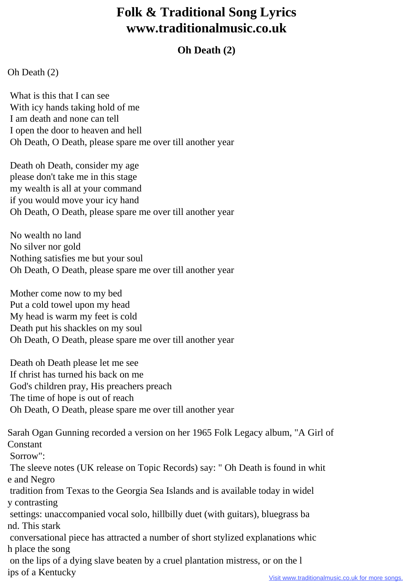## **Folk & Traditional Song Lyrics www.traditionalmusic.co.uk**

## **Oh Death (2)**

## Oh Death (2)

ips of a Kentucky

 What is this that I can see With icy hands taking hold of me I am death and none can tell I open the door to heaven and hell Oh Death, O Death, please spare me over till another year

 Death oh Death, consider my age please don't take me in this stage my wealth is all at your command if you would move your icy hand Oh Death, O Death, please spare me over till another year

 No wealth no land No silver nor gold Nothing satisfies me but your soul Oh Death, O Death, please spare me over till another year

 Mother come now to my bed Put a cold towel upon my head My head is warm my feet is cold Death put his shackles on my soul Oh Death, O Death, please spare me over till another year

 Death oh Death please let me see If christ has turned his back on me God's children pray, His preachers preach The time of hope is out of reach Oh Death, O Death, please spare me over till another year

Sarah Ogan Gunning recorded a version on her 1965 Folk Legacy album, "A Girl of Constant Sorrow": The sleeve notes (UK release on Topic Records) say: " Oh Death is found in whit e and Negro tradition from Texas to the Georgia Sea Islands and is available today in widel y contrasting settings: unaccompanied vocal solo, hillbilly duet (with guitars), bluegrass ba nd. This stark conversational piece has attracted a number of short stylized explanations whic h place the song on the lips of a dying slave beaten by a cruel plantation mistress, or on the l